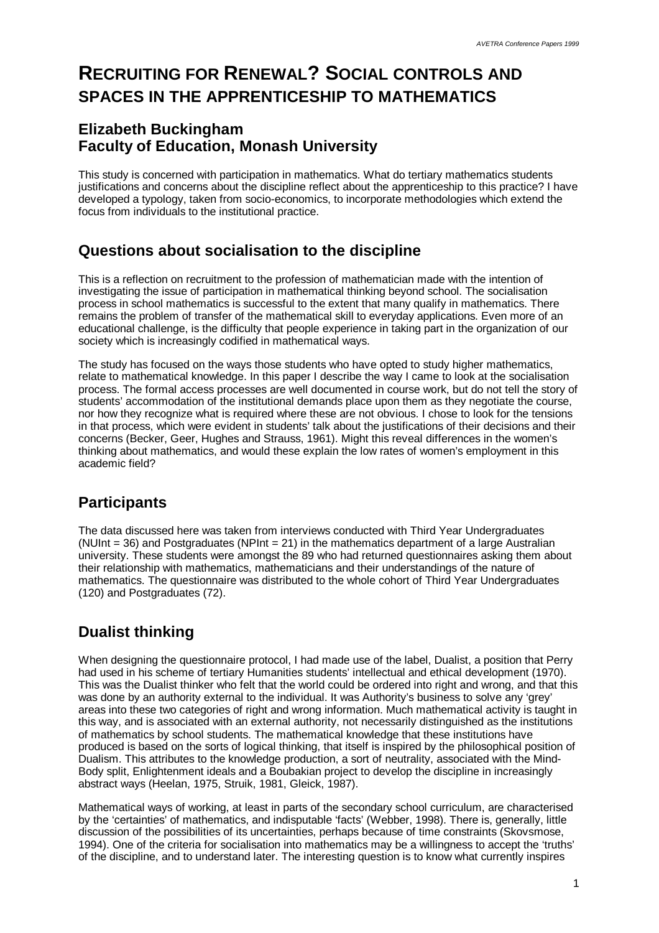# **RECRUITING FOR RENEWAL? SOCIAL CONTROLS AND SPACES IN THE APPRENTICESHIP TO MATHEMATICS**

### **Elizabeth Buckingham Faculty of Education, Monash University**

This study is concerned with participation in mathematics. What do tertiary mathematics students justifications and concerns about the discipline reflect about the apprenticeship to this practice? I have developed a typology, taken from socio-economics, to incorporate methodologies which extend the focus from individuals to the institutional practice.

### **Questions about socialisation to the discipline**

This is a reflection on recruitment to the profession of mathematician made with the intention of investigating the issue of participation in mathematical thinking beyond school. The socialisation process in school mathematics is successful to the extent that many qualify in mathematics. There remains the problem of transfer of the mathematical skill to everyday applications. Even more of an educational challenge, is the difficulty that people experience in taking part in the organization of our society which is increasingly codified in mathematical ways.

The study has focused on the ways those students who have opted to study higher mathematics, relate to mathematical knowledge. In this paper I describe the way I came to look at the socialisation process. The formal access processes are well documented in course work, but do not tell the story of students' accommodation of the institutional demands place upon them as they negotiate the course, nor how they recognize what is required where these are not obvious. I chose to look for the tensions in that process, which were evident in students' talk about the justifications of their decisions and their concerns (Becker, Geer, Hughes and Strauss, 1961). Might this reveal differences in the women's thinking about mathematics, and would these explain the low rates of women's employment in this academic field?

# **Participants**

The data discussed here was taken from interviews conducted with Third Year Undergraduates (NUInt  $=$  36) and Postgraduates (NPInt  $=$  21) in the mathematics department of a large Australian university. These students were amongst the 89 who had returned questionnaires asking them about their relationship with mathematics, mathematicians and their understandings of the nature of mathematics. The questionnaire was distributed to the whole cohort of Third Year Undergraduates (120) and Postgraduates (72).

# **Dualist thinking**

When designing the questionnaire protocol, I had made use of the label, Dualist, a position that Perry had used in his scheme of tertiary Humanities students' intellectual and ethical development (1970). This was the Dualist thinker who felt that the world could be ordered into right and wrong, and that this was done by an authority external to the individual. It was Authority's business to solve any 'grey' areas into these two categories of right and wrong information. Much mathematical activity is taught in this way, and is associated with an external authority, not necessarily distinguished as the institutions of mathematics by school students. The mathematical knowledge that these institutions have produced is based on the sorts of logical thinking, that itself is inspired by the philosophical position of Dualism. This attributes to the knowledge production, a sort of neutrality, associated with the Mind-Body split, Enlightenment ideals and a Boubakian project to develop the discipline in increasingly abstract ways (Heelan, 1975, Struik, 1981, Gleick, 1987).

Mathematical ways of working, at least in parts of the secondary school curriculum, are characterised by the 'certainties' of mathematics, and indisputable 'facts' (Webber, 1998). There is, generally, little discussion of the possibilities of its uncertainties, perhaps because of time constraints (Skovsmose, 1994). One of the criteria for socialisation into mathematics may be a willingness to accept the 'truths' of the discipline, and to understand later. The interesting question is to know what currently inspires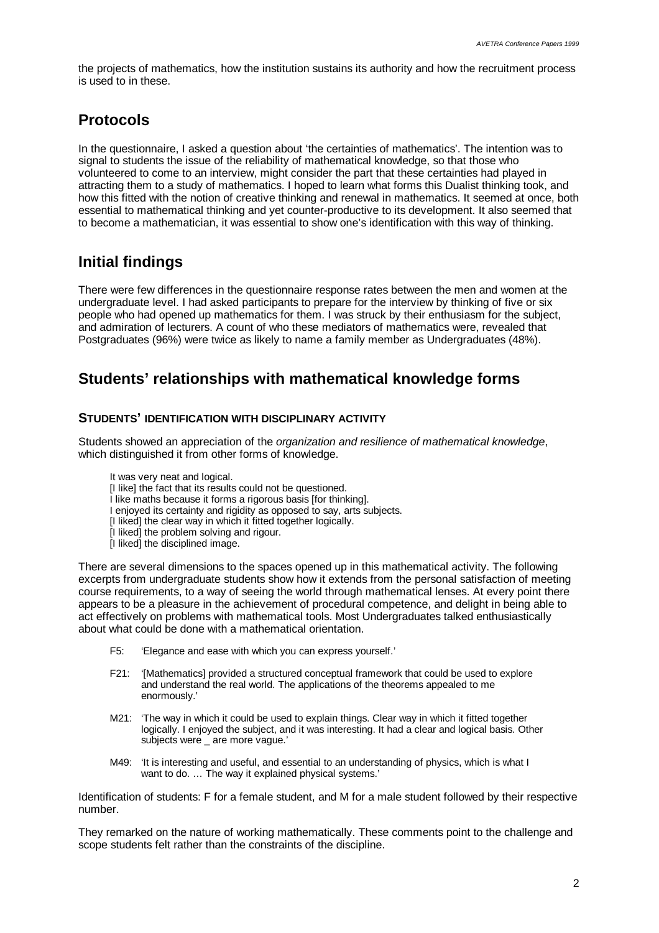the projects of mathematics, how the institution sustains its authority and how the recruitment process is used to in these.

# **Protocols**

In the questionnaire, I asked a question about 'the certainties of mathematics'. The intention was to signal to students the issue of the reliability of mathematical knowledge, so that those who volunteered to come to an interview, might consider the part that these certainties had played in attracting them to a study of mathematics. I hoped to learn what forms this Dualist thinking took, and how this fitted with the notion of creative thinking and renewal in mathematics. It seemed at once, both essential to mathematical thinking and yet counter-productive to its development. It also seemed that to become a mathematician, it was essential to show one's identification with this way of thinking.

### **Initial findings**

There were few differences in the questionnaire response rates between the men and women at the undergraduate level. I had asked participants to prepare for the interview by thinking of five or six people who had opened up mathematics for them. I was struck by their enthusiasm for the subject, and admiration of lecturers. A count of who these mediators of mathematics were, revealed that Postgraduates (96%) were twice as likely to name a family member as Undergraduates (48%).

### **Students' relationships with mathematical knowledge forms**

### **STUDENTS' IDENTIFICATION WITH DISCIPLINARY ACTIVITY**

Students showed an appreciation of the *organization and resilience of mathematical knowledge*, which distinguished it from other forms of knowledge.

- It was very neat and logical.
- [I like] the fact that its results could not be questioned.
- I like maths because it forms a rigorous basis [for thinking].
- I enjoyed its certainty and rigidity as opposed to say, arts subjects.
- [I liked] the clear way in which it fitted together logically.
- [I liked] the problem solving and rigour.
- [I liked] the disciplined image.

There are several dimensions to the spaces opened up in this mathematical activity. The following excerpts from undergraduate students show how it extends from the personal satisfaction of meeting course requirements, to a way of seeing the world through mathematical lenses. At every point there appears to be a pleasure in the achievement of procedural competence, and delight in being able to act effectively on problems with mathematical tools. Most Undergraduates talked enthusiastically about what could be done with a mathematical orientation.

- F5: 'Elegance and ease with which you can express yourself.'
- F21: '[Mathematics] provided a structured conceptual framework that could be used to explore and understand the real world. The applications of the theorems appealed to me enormously.'
- M21: 'The way in which it could be used to explain things. Clear way in which it fitted together logically. I enjoyed the subject, and it was interesting. It had a clear and logical basis. Other subjects were are more vague.'
- M49: 'It is interesting and useful, and essential to an understanding of physics, which is what I want to do. ... The way it explained physical systems.'

Identification of students: F for a female student, and M for a male student followed by their respective number.

They remarked on the nature of working mathematically. These comments point to the challenge and scope students felt rather than the constraints of the discipline.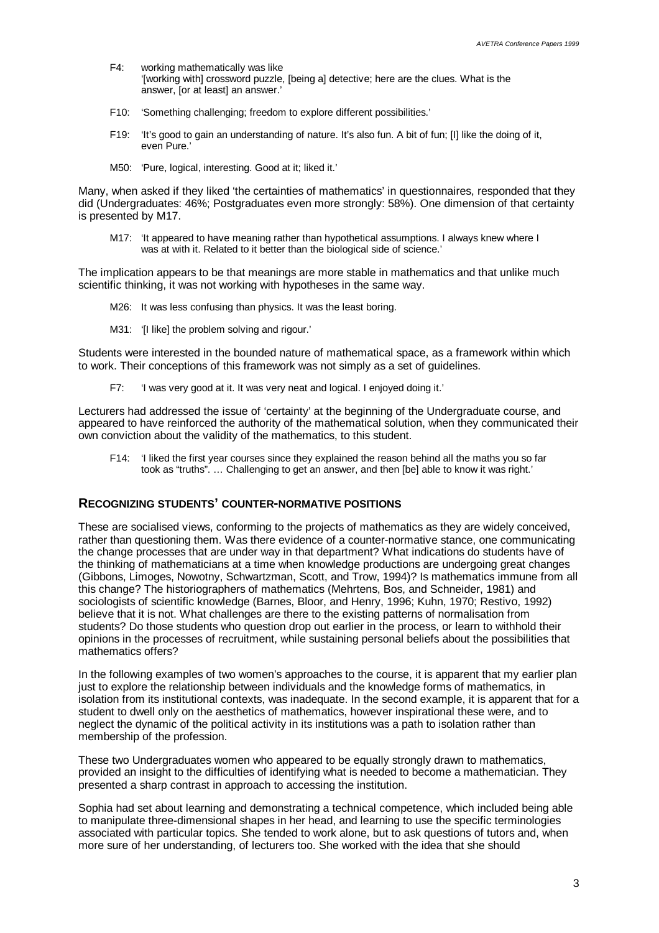- F4: working mathematically was like '[working with] crossword puzzle, [being a] detective; here are the clues. What is the answer, [or at least] an answer.'
- F10: 'Something challenging; freedom to explore different possibilities.'
- F19: 'It's good to gain an understanding of nature. It's also fun. A bit of fun; [I] like the doing of it, even Pure.'
- M50: 'Pure, logical, interesting. Good at it; liked it.'

Many, when asked if they liked 'the certainties of mathematics' in questionnaires, responded that they did (Undergraduates: 46%; Postgraduates even more strongly: 58%). One dimension of that certainty is presented by M17.

M17: 'It appeared to have meaning rather than hypothetical assumptions. I always knew where I was at with it. Related to it better than the biological side of science.'

The implication appears to be that meanings are more stable in mathematics and that unlike much scientific thinking, it was not working with hypotheses in the same way.

- M<sub>26</sub>: It was less confusing than physics. It was the least boring.
- M31: 'Il like] the problem solving and rigour.'

Students were interested in the bounded nature of mathematical space, as a framework within which to work. Their conceptions of this framework was not simply as a set of guidelines.

F7: 'I was very good at it. It was very neat and logical. I enjoyed doing it.'

Lecturers had addressed the issue of 'certainty' at the beginning of the Undergraduate course, and appeared to have reinforced the authority of the mathematical solution, when they communicated their own conviction about the validity of the mathematics, to this student.

F14: 'I liked the first year courses since they explained the reason behind all the maths you so far took as "truths". … Challenging to get an answer, and then [be] able to know it was right.'

#### **RECOGNIZING STUDENTS' COUNTER-NORMATIVE POSITIONS**

These are socialised views, conforming to the projects of mathematics as they are widely conceived, rather than questioning them. Was there evidence of a counter-normative stance, one communicating the change processes that are under way in that department? What indications do students have of the thinking of mathematicians at a time when knowledge productions are undergoing great changes (Gibbons, Limoges, Nowotny, Schwartzman, Scott, and Trow, 1994)? Is mathematics immune from all this change? The historiographers of mathematics (Mehrtens, Bos, and Schneider, 1981) and sociologists of scientific knowledge (Barnes, Bloor, and Henry, 1996; Kuhn, 1970; Restivo, 1992) believe that it is not. What challenges are there to the existing patterns of normalisation from students? Do those students who question drop out earlier in the process, or learn to withhold their opinions in the processes of recruitment, while sustaining personal beliefs about the possibilities that mathematics offers?

In the following examples of two women's approaches to the course, it is apparent that my earlier plan just to explore the relationship between individuals and the knowledge forms of mathematics, in isolation from its institutional contexts, was inadequate. In the second example, it is apparent that for a student to dwell only on the aesthetics of mathematics, however inspirational these were, and to neglect the dynamic of the political activity in its institutions was a path to isolation rather than membership of the profession.

These two Undergraduates women who appeared to be equally strongly drawn to mathematics, provided an insight to the difficulties of identifying what is needed to become a mathematician. They presented a sharp contrast in approach to accessing the institution.

Sophia had set about learning and demonstrating a technical competence, which included being able to manipulate three-dimensional shapes in her head, and learning to use the specific terminologies associated with particular topics. She tended to work alone, but to ask questions of tutors and, when more sure of her understanding, of lecturers too. She worked with the idea that she should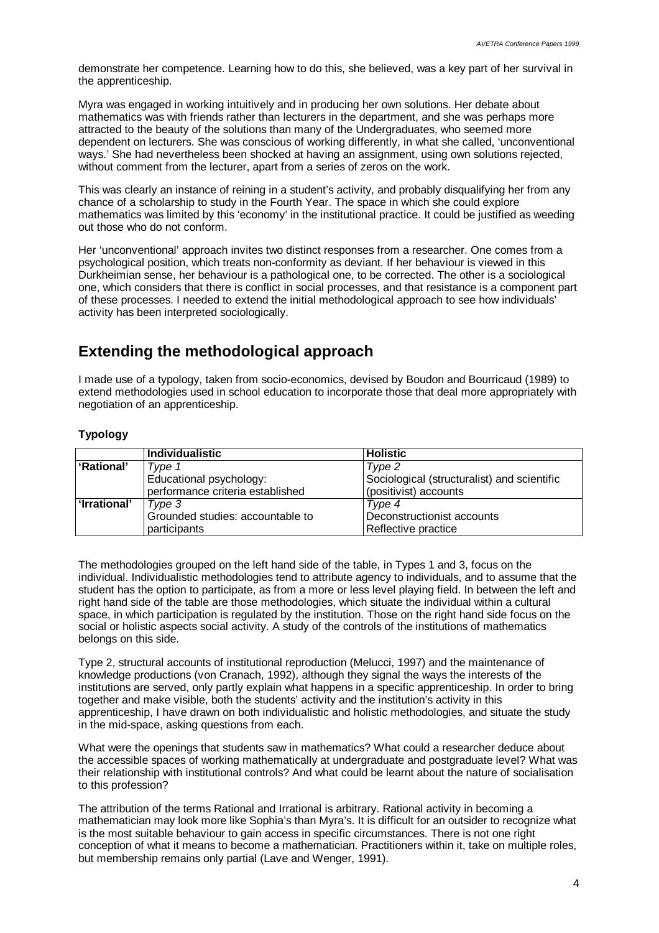demonstrate her competence. Learning how to do this, she believed, was a key part of her survival in the apprenticeship.

Myra was engaged in working intuitively and in producing her own solutions. Her debate about mathematics was with friends rather than lecturers in the department, and she was perhaps more attracted to the beauty of the solutions than many of the Undergraduates, who seemed more dependent on lecturers. She was conscious of working differently, in what she called, 'unconventional ways.' She had nevertheless been shocked at having an assignment, using own solutions rejected, without comment from the lecturer, apart from a series of zeros on the work.

This was clearly an instance of reining in a student's activity, and probably disqualifying her from any chance of a scholarship to study in the Fourth Year. The space in which she could explore mathematics was limited by this 'economy' in the institutional practice. It could be justified as weeding out those who do not conform.

Her 'unconventional' approach invites two distinct responses from a researcher. One comes from a psychological position, which treats non-conformity as deviant. If her behaviour is viewed in this Durkheimian sense, her behaviour is a pathological one, to be corrected. The other is a sociological one, which considers that there is conflict in social processes, and that resistance is a component part of these processes. I needed to extend the initial methodological approach to see how individuals' activity has been interpreted sociologically.

### **Extending the methodological approach**

I made use of a typology, taken from socio-economics, devised by Boudon and Bourricaud (1989) to extend methodologies used in school education to incorporate those that deal more appropriately with negotiation of an apprenticeship.

### **Typology**

|              | <b>Individualistic</b>           | <b>Holistic</b>                             |
|--------------|----------------------------------|---------------------------------------------|
| 'Rational'   | Type 1                           | Type 2                                      |
|              | Educational psychology:          | Sociological (structuralist) and scientific |
|              | performance criteria established | (positivist) accounts                       |
| 'Irrational' | Type 3                           | Type 4                                      |
|              | Grounded studies: accountable to | Deconstructionist accounts                  |
|              | participants                     | Reflective practice                         |

The methodologies grouped on the left hand side of the table, in Types 1 and 3, focus on the individual. Individualistic methodologies tend to attribute agency to individuals, and to assume that the student has the option to participate, as from a more or less level playing field. In between the left and right hand side of the table are those methodologies, which situate the individual within a cultural space, in which participation is regulated by the institution. Those on the right hand side focus on the social or holistic aspects social activity. A study of the controls of the institutions of mathematics belongs on this side.

Type 2, structural accounts of institutional reproduction (Melucci, 1997) and the maintenance of knowledge productions (von Cranach, 1992), although they signal the ways the interests of the institutions are served, only partly explain what happens in a specific apprenticeship. In order to bring together and make visible, both the students' activity and the institution's activity in this apprenticeship, I have drawn on both individualistic and holistic methodologies, and situate the study in the mid-space, asking questions from each.

What were the openings that students saw in mathematics? What could a researcher deduce about the accessible spaces of working mathematically at undergraduate and postgraduate level? What was their relationship with institutional controls? And what could be learnt about the nature of socialisation to this profession?

The attribution of the terms Rational and Irrational is arbitrary. Rational activity in becoming a mathematician may look more like Sophia's than Myra's. It is difficult for an outsider to recognize what is the most suitable behaviour to gain access in specific circumstances. There is not one right conception of what it means to become a mathematician. Practitioners within it, take on multiple roles, but membership remains only partial (Lave and Wenger, 1991).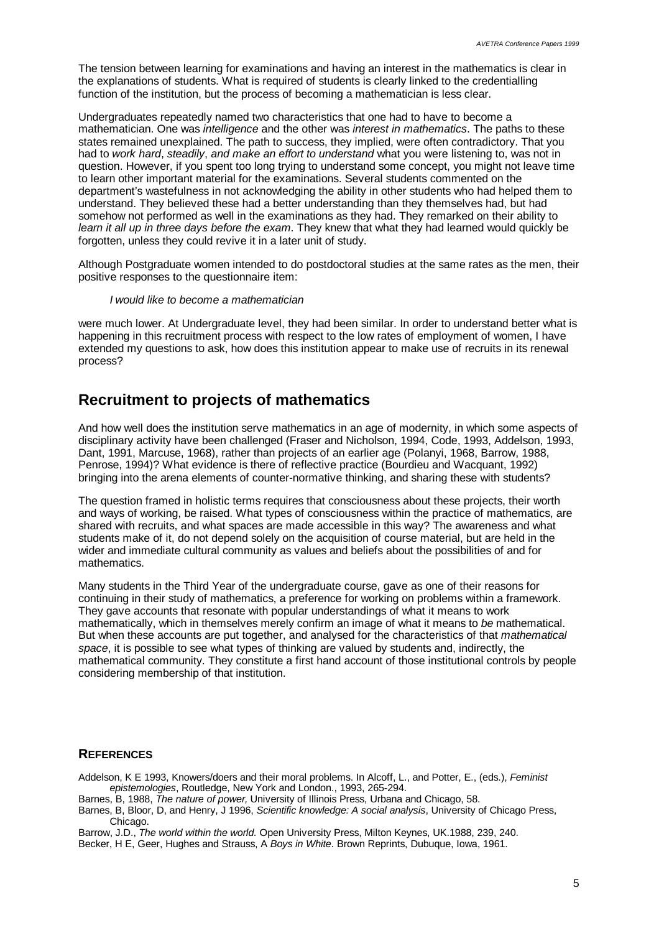The tension between learning for examinations and having an interest in the mathematics is clear in the explanations of students. What is required of students is clearly linked to the credentialling function of the institution, but the process of becoming a mathematician is less clear.

Undergraduates repeatedly named two characteristics that one had to have to become a mathematician. One was *intelligence* and the other was *interest in mathematics*. The paths to these states remained unexplained. The path to success, they implied, were often contradictory. That you had to *work hard*, *steadily*, *and make an effort to understand* what you were listening to, was not in question. However, if you spent too long trying to understand some concept, you might not leave time to learn other important material for the examinations. Several students commented on the department's wastefulness in not acknowledging the ability in other students who had helped them to understand. They believed these had a better understanding than they themselves had, but had somehow not performed as well in the examinations as they had. They remarked on their ability to *learn it all up in three days before the exam*. They knew that what they had learned would quickly be forgotten, unless they could revive it in a later unit of study.

Although Postgraduate women intended to do postdoctoral studies at the same rates as the men, their positive responses to the questionnaire item:

#### *I would like to become a mathematician*

were much lower. At Undergraduate level, they had been similar. In order to understand better what is happening in this recruitment process with respect to the low rates of employment of women. I have extended my questions to ask, how does this institution appear to make use of recruits in its renewal process?

### **Recruitment to projects of mathematics**

And how well does the institution serve mathematics in an age of modernity, in which some aspects of disciplinary activity have been challenged (Fraser and Nicholson, 1994, Code, 1993, Addelson, 1993, Dant, 1991, Marcuse, 1968), rather than projects of an earlier age (Polanyi, 1968, Barrow, 1988, Penrose, 1994)? What evidence is there of reflective practice (Bourdieu and Wacquant, 1992) bringing into the arena elements of counter-normative thinking, and sharing these with students?

The question framed in holistic terms requires that consciousness about these projects, their worth and ways of working, be raised. What types of consciousness within the practice of mathematics, are shared with recruits, and what spaces are made accessible in this way? The awareness and what students make of it, do not depend solely on the acquisition of course material, but are held in the wider and immediate cultural community as values and beliefs about the possibilities of and for mathematics.

Many students in the Third Year of the undergraduate course, gave as one of their reasons for continuing in their study of mathematics, a preference for working on problems within a framework. They gave accounts that resonate with popular understandings of what it means to work mathematically, which in themselves merely confirm an image of what it means to *be* mathematical. But when these accounts are put together, and analysed for the characteristics of that *mathematical space*, it is possible to see what types of thinking are valued by students and, indirectly, the mathematical community. They constitute a first hand account of those institutional controls by people considering membership of that institution.

#### **REFERENCES**

- Addelson, K E 1993, Knowers/doers and their moral problems. In Alcoff, L., and Potter, E., (eds.), *Feminist epistemologies*, Routledge, New York and London., 1993, 265-294.
- Barnes, B, 1988, *The nature of power,* University of Illinois Press, Urbana and Chicago, 58.
- Barnes, B, Bloor, D, and Henry, J 1996, *Scientific knowledge: A social analysis*, University of Chicago Press, Chicago.
- Barrow, J.D., *The world within the world.* Open University Press, Milton Keynes, UK.1988, 239, 240.
- Becker, H E, Geer, Hughes and Strauss, A *Boys in White*. Brown Reprints, Dubuque, Iowa, 1961.